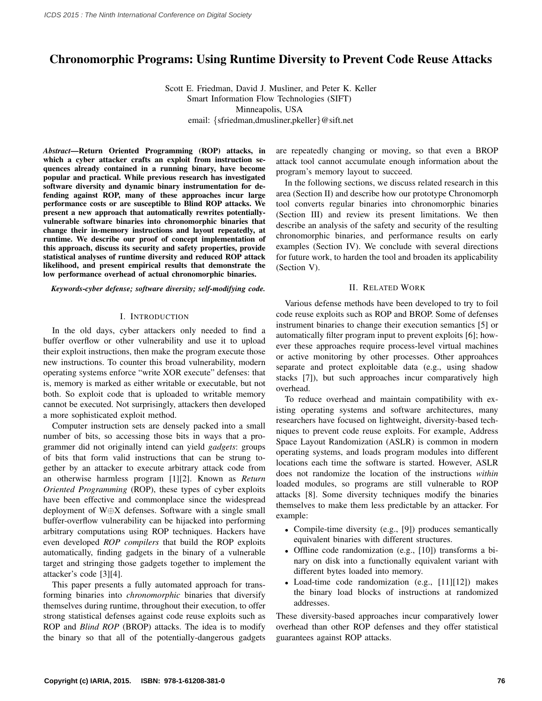# Chronomorphic Programs: Using Runtime Diversity to Prevent Code Reuse Attacks

Scott E. Friedman, David J. Musliner, and Peter K. Keller Smart Information Flow Technologies (SIFT) Minneapolis, USA

email: {sfriedman,dmusliner,pkeller}@sift.net

*Abstract*—Return Oriented Programming (ROP) attacks, in which a cyber attacker crafts an exploit from instruction sequences already contained in a running binary, have become popular and practical. While previous research has investigated software diversity and dynamic binary instrumentation for defending against ROP, many of these approaches incur large performance costs or are susceptible to Blind ROP attacks. We present a new approach that automatically rewrites potentiallyvulnerable software binaries into chronomorphic binaries that change their in-memory instructions and layout repeatedly, at runtime. We describe our proof of concept implementation of this approach, discuss its security and safety properties, provide statistical analyses of runtime diversity and reduced ROP attack likelihood, and present empirical results that demonstrate the low performance overhead of actual chronomorphic binaries.

*Keywords*-*cyber defense; software diversity; self-modifying code.*

#### I. INTRODUCTION

In the old days, cyber attackers only needed to find a buffer overflow or other vulnerability and use it to upload their exploit instructions, then make the program execute those new instructions. To counter this broad vulnerability, modern operating systems enforce "write XOR execute" defenses: that is, memory is marked as either writable or executable, but not both. So exploit code that is uploaded to writable memory cannot be executed. Not surprisingly, attackers then developed a more sophisticated exploit method.

Computer instruction sets are densely packed into a small number of bits, so accessing those bits in ways that a programmer did not originally intend can yield *gadgets*: groups of bits that form valid instructions that can be strung together by an attacker to execute arbitrary attack code from an otherwise harmless program [1][2]. Known as *Return Oriented Programming* (ROP), these types of cyber exploits have been effective and commonplace since the widespread deployment of W⊕X defenses. Software with a single small buffer-overflow vulnerability can be hijacked into performing arbitrary computations using ROP techniques. Hackers have even developed *ROP compilers* that build the ROP exploits automatically, finding gadgets in the binary of a vulnerable target and stringing those gadgets together to implement the attacker's code [3][4].

This paper presents a fully automated approach for transforming binaries into *chronomorphic* binaries that diversify themselves during runtime, throughout their execution, to offer strong statistical defenses against code reuse exploits such as ROP and *Blind ROP* (BROP) attacks. The idea is to modify the binary so that all of the potentially-dangerous gadgets

are repeatedly changing or moving, so that even a BROP attack tool cannot accumulate enough information about the program's memory layout to succeed.

In the following sections, we discuss related research in this area (Section II) and describe how our prototype Chronomorph tool converts regular binaries into chronomorphic binaries (Section III) and review its present limitations. We then describe an analysis of the safety and security of the resulting chronomorphic binaries, and performance results on early examples (Section IV). We conclude with several directions for future work, to harden the tool and broaden its applicability (Section V).

#### II. RELATED WORK

Various defense methods have been developed to try to foil code reuse exploits such as ROP and BROP. Some of defenses instrument binaries to change their execution semantics [5] or automatically filter program input to prevent exploits [6]; however these approaches require process-level virtual machines or active monitoring by other processes. Other approahces separate and protect exploitable data (e.g., using shadow stacks [7]), but such approaches incur comparatively high overhead.

To reduce overhead and maintain compatibility with existing operating systems and software architectures, many researchers have focused on lightweight, diversity-based techniques to prevent code reuse exploits. For example, Address Space Layout Randomization (ASLR) is common in modern operating systems, and loads program modules into different locations each time the software is started. However, ASLR does not randomize the location of the instructions *within* loaded modules, so programs are still vulnerable to ROP attacks [8]. Some diversity techniques modify the binaries themselves to make them less predictable by an attacker. For example:

- Compile-time diversity (e.g., [9]) produces semantically equivalent binaries with different structures.
- Offline code randomization (e.g., [10]) transforms a binary on disk into a functionally equivalent variant with different bytes loaded into memory.
- Load-time code randomization (e.g., [11][12]) makes the binary load blocks of instructions at randomized addresses.

These diversity-based approaches incur comparatively lower overhead than other ROP defenses and they offer statistical guarantees against ROP attacks.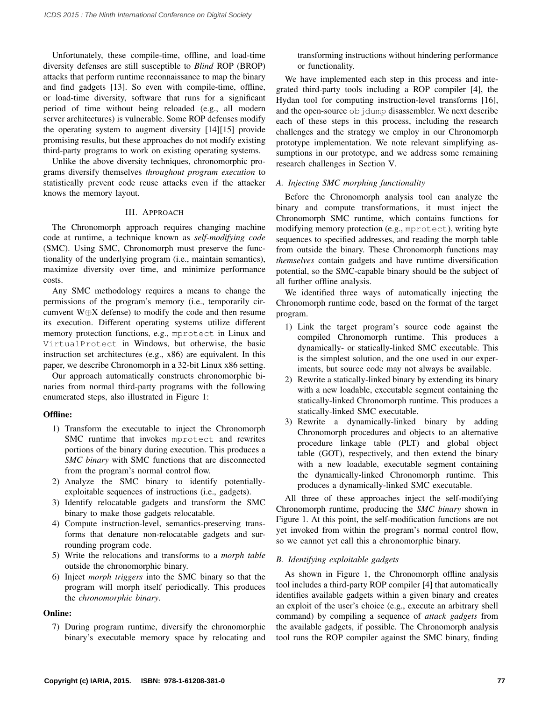Unfortunately, these compile-time, offline, and load-time diversity defenses are still susceptible to *Blind* ROP (BROP) attacks that perform runtime reconnaissance to map the binary and find gadgets [13]. So even with compile-time, offline, or load-time diversity, software that runs for a significant period of time without being reloaded (e.g., all modern server architectures) is vulnerable. Some ROP defenses modify the operating system to augment diversity [14][15] provide promising results, but these approaches do not modify existing third-party programs to work on existing operating systems.

Unlike the above diversity techniques, chronomorphic programs diversify themselves *throughout program execution* to statistically prevent code reuse attacks even if the attacker knows the memory layout.

## III. APPROACH

The Chronomorph approach requires changing machine code at runtime, a technique known as *self-modifying code* (SMC). Using SMC, Chronomorph must preserve the functionality of the underlying program (i.e., maintain semantics), maximize diversity over time, and minimize performance costs.

Any SMC methodology requires a means to change the permissions of the program's memory (i.e., temporarily circumvent W⊕X defense) to modify the code and then resume its execution. Different operating systems utilize different memory protection functions, e.g., mprotect in Linux and VirtualProtect in Windows, but otherwise, the basic instruction set architectures (e.g., x86) are equivalent. In this paper, we describe Chronomorph in a 32-bit Linux x86 setting.

Our approach automatically constructs chronomorphic binaries from normal third-party programs with the following enumerated steps, also illustrated in Figure 1:

# Offline:

- 1) Transform the executable to inject the Chronomorph SMC runtime that invokes mprotect and rewrites portions of the binary during execution. This produces a *SMC binary* with SMC functions that are disconnected from the program's normal control flow.
- 2) Analyze the SMC binary to identify potentiallyexploitable sequences of instructions (i.e., gadgets).
- 3) Identify relocatable gadgets and transform the SMC binary to make those gadgets relocatable.
- 4) Compute instruction-level, semantics-preserving transforms that denature non-relocatable gadgets and surrounding program code.
- 5) Write the relocations and transforms to a *morph table* outside the chronomorphic binary.
- 6) Inject *morph triggers* into the SMC binary so that the program will morph itself periodically. This produces the *chronomorphic binary*.

# Online:

7) During program runtime, diversify the chronomorphic binary's executable memory space by relocating and transforming instructions without hindering performance or functionality.

We have implemented each step in this process and integrated third-party tools including a ROP compiler [4], the Hydan tool for computing instruction-level transforms [16], and the open-source objdump disassembler. We next describe each of these steps in this process, including the research challenges and the strategy we employ in our Chronomorph prototype implementation. We note relevant simplifying assumptions in our prototype, and we address some remaining research challenges in Section V.

# *A. Injecting SMC morphing functionality*

Before the Chronomorph analysis tool can analyze the binary and compute transformations, it must inject the Chronomorph SMC runtime, which contains functions for modifying memory protection (e.g., mprotect), writing byte sequences to specified addresses, and reading the morph table from outside the binary. These Chronomorph functions may *themselves* contain gadgets and have runtime diversification potential, so the SMC-capable binary should be the subject of all further offline analysis.

We identified three ways of automatically injecting the Chronomorph runtime code, based on the format of the target program.

- 1) Link the target program's source code against the compiled Chronomorph runtime. This produces a dynamically- or statically-linked SMC executable. This is the simplest solution, and the one used in our experiments, but source code may not always be available.
- 2) Rewrite a statically-linked binary by extending its binary with a new loadable, executable segment containing the statically-linked Chronomorph runtime. This produces a statically-linked SMC executable.
- 3) Rewrite a dynamically-linked binary by adding Chronomorph procedures and objects to an alternative procedure linkage table (PLT) and global object table (GOT), respectively, and then extend the binary with a new loadable, executable segment containing the dynamically-linked Chronomorph runtime. This produces a dynamically-linked SMC executable.

All three of these approaches inject the self-modifying Chronomorph runtime, producing the *SMC binary* shown in Figure 1. At this point, the self-modification functions are not yet invoked from within the program's normal control flow, so we cannot yet call this a chronomorphic binary.

# *B. Identifying exploitable gadgets*

As shown in Figure 1, the Chronomorph offline analysis tool includes a third-party ROP compiler [4] that automatically identifies available gadgets within a given binary and creates an exploit of the user's choice (e.g., execute an arbitrary shell command) by compiling a sequence of *attack gadgets* from the available gadgets, if possible. The Chronomorph analysis tool runs the ROP compiler against the SMC binary, finding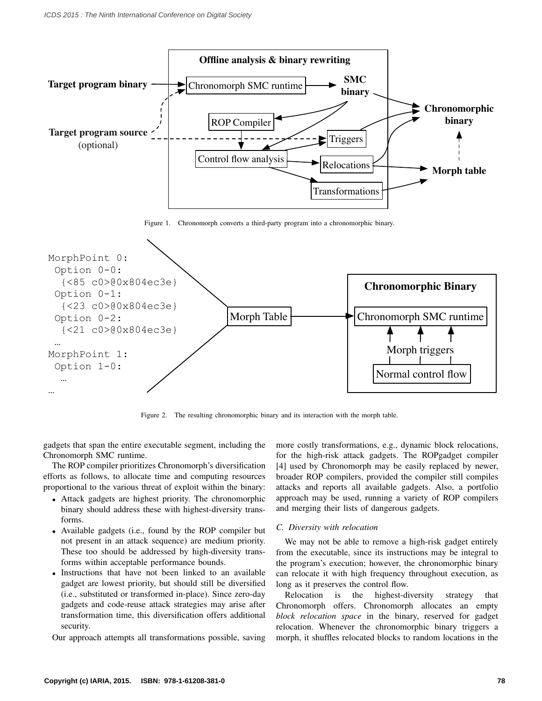

Figure 1. Chronomorph converts a third-party program into a chronomorphic binary.



Figure 2. The resulting chronomorphic binary and its interaction with the morph table.

gadgets that span the entire executable segment, including the Chronomorph SMC runtime.

The ROP compiler prioritizes Chronomorph's diversification efforts as follows, to allocate time and computing resources proportional to the various threat of exploit within the binary:

- Attack gadgets are highest priority. The chronomorphic binary should address these with highest-diversity transforms.
- Available gadgets (i.e., found by the ROP compiler but not present in an attack sequence) are medium priority. These too should be addressed by high-diversity transforms within acceptable performance bounds.
- Instructions that have not been linked to an available gadget are lowest priority, but should still be diversified (i.e., substituted or transformed in-place). Since zero-day gadgets and code-reuse attack strategies may arise after transformation time, this diversification offers additional security.

Our approach attempts all transformations possible, saving

more costly transformations, e.g., dynamic block relocations, for the high-risk attack gadgets. The ROPgadget compiler [4] used by Chronomorph may be easily replaced by newer, broader ROP compilers, provided the compiler still compiles attacks and reports all available gadgets. Also, a portfolio approach may be used, running a variety of ROP compilers and merging their lists of dangerous gadgets.

#### *C. Diversity with relocation*

We may not be able to remove a high-risk gadget entirely from the executable, since its instructions may be integral to the program's execution; however, the chronomorphic binary can relocate it with high frequency throughout execution, as long as it preserves the control flow.

Relocation is the highest-diversity strategy that Chronomorph offers. Chronomorph allocates an empty *block relocation space* in the binary, reserved for gadget relocation. Whenever the chronomorphic binary triggers a morph, it shuffles relocated blocks to random locations in the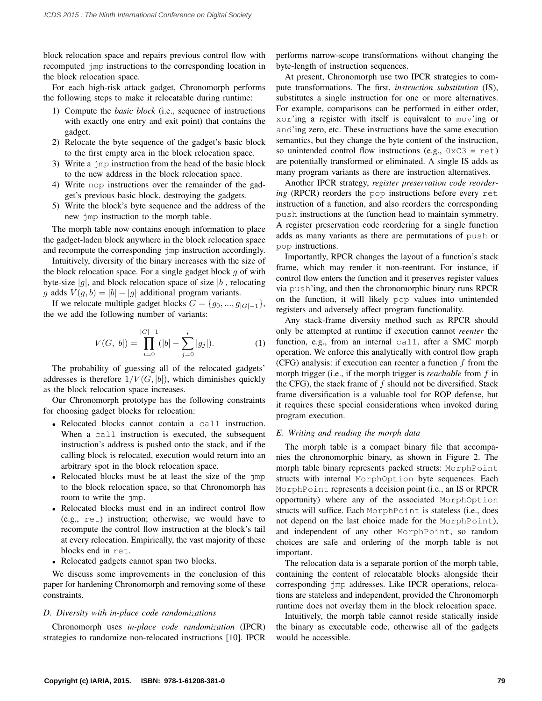block relocation space and repairs previous control flow with recomputed jmp instructions to the corresponding location in the block relocation space.

For each high-risk attack gadget, Chronomorph performs the following steps to make it relocatable during runtime:

- 1) Compute the *basic block* (i.e., sequence of instructions with exactly one entry and exit point) that contains the gadget.
- 2) Relocate the byte sequence of the gadget's basic block to the first empty area in the block relocation space.
- 3) Write a jmp instruction from the head of the basic block to the new address in the block relocation space.
- 4) Write nop instructions over the remainder of the gadget's previous basic block, destroying the gadgets.
- 5) Write the block's byte sequence and the address of the new jmp instruction to the morph table.

The morph table now contains enough information to place the gadget-laden block anywhere in the block relocation space and recompute the corresponding jmp instruction accordingly.

Intuitively, diversity of the binary increases with the size of the block relocation space. For a single gadget block  $g$  of with byte-size  $|g|$ , and block relocation space of size  $|b|$ , relocating g adds  $V(g, b) = |b| - |g|$  additional program variants.

If we relocate multiple gadget blocks  $G = \{g_0, ..., g_{|G|-1}\},\$ the we add the following number of variants:

$$
V(G, |b|) = \prod_{i=0}^{|G|-1} (|b| - \sum_{j=0}^{i} |g_j|).
$$
 (1)

The probability of guessing all of the relocated gadgets' addresses is therefore  $1/V(G, |b|)$ , which diminishes quickly as the block relocation space increases.

Our Chronomorph prototype has the following constraints for choosing gadget blocks for relocation:

- Relocated blocks cannot contain a call instruction. When a call instruction is executed, the subsequent instruction's address is pushed onto the stack, and if the calling block is relocated, execution would return into an arbitrary spot in the block relocation space.
- Relocated blocks must be at least the size of the  $\eta$ mp to the block relocation space, so that Chronomorph has room to write the jmp.
- Relocated blocks must end in an indirect control flow (e.g., ret) instruction; otherwise, we would have to recompute the control flow instruction at the block's tail at every relocation. Empirically, the vast majority of these blocks end in ret.
- Relocated gadgets cannot span two blocks.

We discuss some improvements in the conclusion of this paper for hardening Chronomorph and removing some of these constraints.

## *D. Diversity with in-place code randomizations*

Chronomorph uses *in-place code randomization* (IPCR) strategies to randomize non-relocated instructions [10]. IPCR performs narrow-scope transformations without changing the byte-length of instruction sequences.

At present, Chronomorph use two IPCR strategies to compute transformations. The first, *instruction substitution* (IS), substitutes a single instruction for one or more alternatives. For example, comparisons can be performed in either order, xor'ing a register with itself is equivalent to mov'ing or and'ing zero, etc. These instructions have the same execution semantics, but they change the byte content of the instruction, so unintended control flow instructions (e.g.,  $0 \times C3 = \text{ret}$ ) are potentially transformed or eliminated. A single IS adds as many program variants as there are instruction alternatives.

Another IPCR strategy, *register preservation code reordering* (RPCR) reorders the pop instructions before every ret instruction of a function, and also reorders the corresponding push instructions at the function head to maintain symmetry. A register preservation code reordering for a single function adds as many variants as there are permutations of push or pop instructions.

Importantly, RPCR changes the layout of a function's stack frame, which may render it non-reentrant. For instance, if control flow enters the function and it preserves register values via push'ing, and then the chronomorphic binary runs RPCR on the function, it will likely pop values into unintended registers and adversely affect program functionality.

Any stack-frame diversity method such as RPCR should only be attempted at runtime if execution cannot *reenter* the function, e.g., from an internal call, after a SMC morph operation. We enforce this analytically with control flow graph (CFG) analysis: if execution can reenter a function  $f$  from the morph trigger (i.e., if the morph trigger is *reachable* from f in the CFG), the stack frame of  $f$  should not be diversified. Stack frame diversification is a valuable tool for ROP defense, but it requires these special considerations when invoked during program execution.

#### *E. Writing and reading the morph data*

The morph table is a compact binary file that accompanies the chronomorphic binary, as shown in Figure 2. The morph table binary represents packed structs: MorphPoint structs with internal MorphOption byte sequences. Each MorphPoint represents a decision point (i.e., an IS or RPCR opportunity) where any of the associated MorphOption structs will suffice. Each MorphPoint is stateless (i.e., does not depend on the last choice made for the MorphPoint), and independent of any other MorphPoint, so random choices are safe and ordering of the morph table is not important.

The relocation data is a separate portion of the morph table, containing the content of relocatable blocks alongside their corresponding jmp addresses. Like IPCR operations, relocations are stateless and independent, provided the Chronomorph runtime does not overlay them in the block relocation space.

Intuitively, the morph table cannot reside statically inside the binary as executable code, otherwise all of the gadgets would be accessible.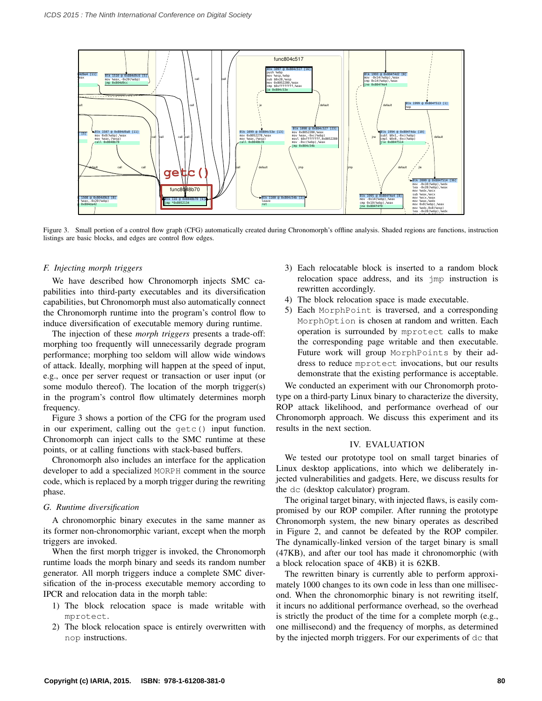

Figure 3. Small portion of a control flow graph (CFG) automatically created during Chronomorph's offline analysis. Shaded regions are functions, instruction listings are basic blocks, and edges are control flow edges.

## *F. Injecting morph triggers*

We have described how Chronomorph injects SMC capabilities into third-party executables and its diversification capabilities, but Chronomorph must also automatically connect the Chronomorph runtime into the program's control flow to induce diversification of executable memory during runtime.

The injection of these *morph triggers* presents a trade-off: morphing too frequently will unnecessarily degrade program performance; morphing too seldom will allow wide windows of attack. Ideally, morphing will happen at the speed of input, e.g., once per server request or transaction or user input (or some modulo thereof). The location of the morph trigger(s) in the program's control flow ultimately determines morph frequency.

Figure 3 shows a portion of the CFG for the program used in our experiment, calling out the getc() input function. Chronomorph can inject calls to the SMC runtime at these points, or at calling functions with stack-based buffers.

Chronomorph also includes an interface for the application developer to add a specialized MORPH comment in the source code, which is replaced by a morph trigger during the rewriting phase.

#### *G. Runtime diversification*

A chronomorphic binary executes in the same manner as its former non-chronomorphic variant, except when the morph triggers are invoked.

When the first morph trigger is invoked, the Chronomorph runtime loads the morph binary and seeds its random number generator. All morph triggers induce a complete SMC diversification of the in-process executable memory according to IPCR and relocation data in the morph table:

- 1) The block relocation space is made writable with mprotect.
- 2) The block relocation space is entirely overwritten with nop instructions.
- 3) Each relocatable block is inserted to a random block relocation space address, and its jmp instruction is rewritten accordingly.
- 4) The block relocation space is made executable.
- MorphOption is chosen at random and written. Each 5) Each MorphPoint is traversed, and a corresponding operation is surrounded by mprotect calls to make the corresponding page writable and then executable. Future work will group MorphPoints by their address to reduce mprotect invocations, but our results demonstrate that the existing performance is acceptable.

We conducted an experiment with our Chronomorph prototype on a third-party Linux binary to characterize the diversity, ROP attack likelihood, and performance overhead of our Chronomorph approach. We discuss this experiment and its results in the next section.

#### IV. EVALUATION

We tested our prototype tool on small target binaries of Linux desktop applications, into which we deliberately injected vulnerabilities and gadgets. Here, we discuss results for the dc (desktop calculator) program.

The original target binary, with injected flaws, is easily compromised by our ROP compiler. After running the prototype Chronomorph system, the new binary operates as described in Figure 2, and cannot be defeated by the ROP compiler. The dynamically-linked version of the target binary is small (47KB), and after our tool has made it chronomorphic (with a block relocation space of 4KB) it is 62KB.

The rewritten binary is currently able to perform approximately 1000 changes to its own code in less than one millisecond. When the chronomorphic binary is not rewriting itself, it incurs no additional performance overhead, so the overhead is strictly the product of the time for a complete morph (e.g., one millisecond) and the frequency of morphs, as determined by the injected morph triggers. For our experiments of dc that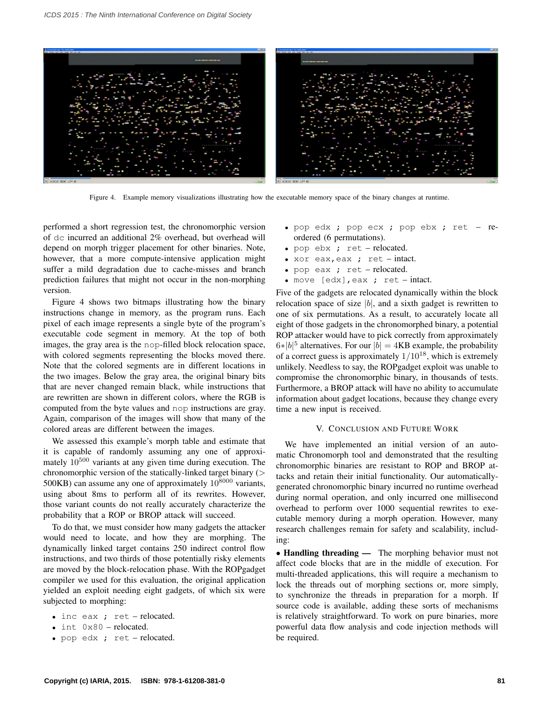

Figure 4. Example memory visualizations illustrating how the executable memory space of the binary changes at runtime.

performed a short regression test, the chronomorphic version of dc incurred an additional 2% overhead, but overhead will depend on morph trigger placement for other binaries. Note, however, that a more compute-intensive application might suffer a mild degradation due to cache-misses and branch prediction failures that might not occur in the non-morphing version.

Figure 4 shows two bitmaps illustrating how the binary instructions change in memory, as the program runs. Each pixel of each image represents a single byte of the program's executable code segment in memory. At the top of both images, the gray area is the nop-filled block relocation space, with colored segments representing the blocks moved there. Note that the colored segments are in different locations in the two images. Below the gray area, the original binary bits that are never changed remain black, while instructions that are rewritten are shown in different colors, where the RGB is computed from the byte values and nop instructions are gray. Again, comparison of the images will show that many of the colored areas are different between the images.

We assessed this example's morph table and estimate that it is capable of randomly assuming any one of approximately  $10^{500}$  variants at any given time during execution. The chronomorphic version of the statically-linked target binary  $($ 500KB) can assume any one of approximately  $10^{8000}$  variants, using about 8ms to perform all of its rewrites. However, those variant counts do not really accurately characterize the probability that a ROP or BROP attack will succeed.

To do that, we must consider how many gadgets the attacker would need to locate, and how they are morphing. The dynamically linked target contains 250 indirect control flow instructions, and two thirds of those potentially risky elements are moved by the block-relocation phase. With the ROPgadget compiler we used for this evaluation, the original application yielded an exploit needing eight gadgets, of which six were subjected to morphing:

- inc eax ; ret relocated.
- int 0x80 relocated.
- pop edx ; ret relocated.
- pop edx ; pop ecx ; pop ebx ; ret reordered (6 permutations).
- pop ebx ; ret relocated.
- xor eax, eax ; ret intact.
- pop eax ; ret relocated.
- move  $[edx]$ , eax ; ret intact.

Five of the gadgets are relocated dynamically within the block relocation space of size  $|b|$ , and a sixth gadget is rewritten to one of six permutations. As a result, to accurately locate all eight of those gadgets in the chronomorphed binary, a potential ROP attacker would have to pick correctly from approximately  $6*|b|^5$  alternatives. For our  $|b| = 4KB$  example, the probability of a correct guess is approximately  $1/10^{18}$ , which is extremely unlikely. Needless to say, the ROPgadget exploit was unable to compromise the chronomorphic binary, in thousands of tests. Furthermore, a BROP attack will have no ability to accumulate information about gadget locations, because they change every time a new input is received.

#### V. CONCLUSION AND FUTURE WORK

We have implemented an initial version of an automatic Chronomorph tool and demonstrated that the resulting chronomorphic binaries are resistant to ROP and BROP attacks and retain their initial functionality. Our automaticallygenerated chronomorphic binary incurred no runtime overhead during normal operation, and only incurred one millisecond overhead to perform over 1000 sequential rewrites to executable memory during a morph operation. However, many research challenges remain for safety and scalability, including:

• Handling threading — The morphing behavior must not affect code blocks that are in the middle of execution. For multi-threaded applications, this will require a mechanism to lock the threads out of morphing sections or, more simply, to synchronize the threads in preparation for a morph. If source code is available, adding these sorts of mechanisms is relatively straightforward. To work on pure binaries, more powerful data flow analysis and code injection methods will be required.